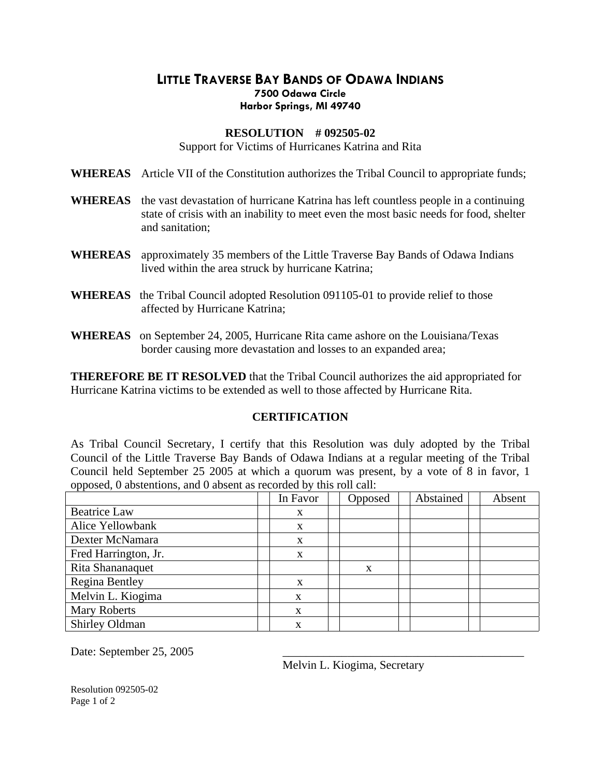## **LITTLE TRAVERSE BAY BANDS OF ODAWA INDIANS 7500 Odawa Circle Harbor Springs, MI 49740**

## **RESOLUTION # 092505-02**

Support for Victims of Hurricanes Katrina and Rita

**WHEREAS** Article VII of the Constitution authorizes the Tribal Council to appropriate funds;

- **WHEREAS** the vast devastation of hurricane Katrina has left countless people in a continuing state of crisis with an inability to meet even the most basic needs for food, shelter and sanitation;
- **WHEREAS** approximately 35 members of the Little Traverse Bay Bands of Odawa Indians lived within the area struck by hurricane Katrina;
- **WHEREAS** the Tribal Council adopted Resolution 091105-01 to provide relief to those affected by Hurricane Katrina;
- **WHEREAS** on September 24, 2005, Hurricane Rita came ashore on the Louisiana/Texas border causing more devastation and losses to an expanded area;

**THEREFORE BE IT RESOLVED** that the Tribal Council authorizes the aid appropriated for Hurricane Katrina victims to be extended as well to those affected by Hurricane Rita.

## **CERTIFICATION**

As Tribal Council Secretary, I certify that this Resolution was duly adopted by the Tribal Council of the Little Traverse Bay Bands of Odawa Indians at a regular meeting of the Tribal Council held September 25 2005 at which a quorum was present, by a vote of 8 in favor, 1 opposed, 0 abstentions, and 0 absent as recorded by this roll call:

|                       | In Favor | Opposed | Abstained | Absent |
|-----------------------|----------|---------|-----------|--------|
| <b>Beatrice Law</b>   | X        |         |           |        |
| Alice Yellowbank      | X        |         |           |        |
| Dexter McNamara       | X        |         |           |        |
| Fred Harrington, Jr.  | X        |         |           |        |
| Rita Shananaquet      |          | x       |           |        |
| <b>Regina Bentley</b> | X        |         |           |        |
| Melvin L. Kiogima     | X        |         |           |        |
| <b>Mary Roberts</b>   | X        |         |           |        |
| Shirley Oldman        | X        |         |           |        |

Date: September 25, 2005

Melvin L. Kiogima, Secretary

Resolution 092505-02 Page 1 of 2